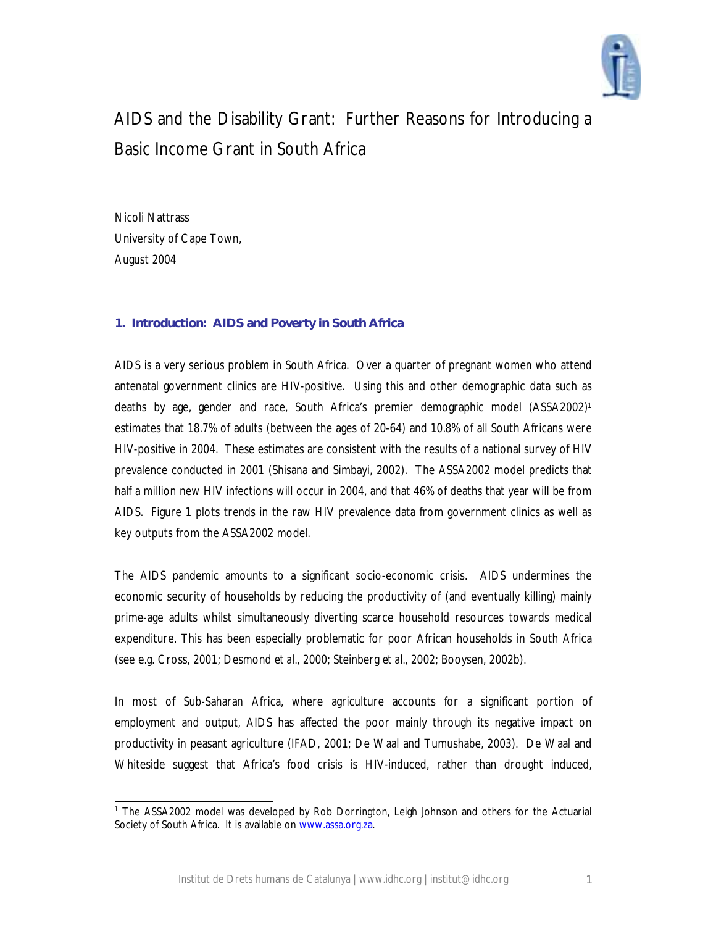

AIDS and the Disability Grant: Further Reasons for Introducing a Basic Income Grant in South Africa

Nicoli Nattrass University of Cape Town, August 2004

# **1. Introduction: AIDS and Poverty in South Africa**

AIDS is a very serious problem in South Africa. Over a quarter of pregnant women who attend antenatal government clinics are HIV-positive. Using this and other demographic data such as deaths by age, gender and race, South Africa's premier demographic model (ASSA2002)1 estimates that 18.7% of adults (between the ages of 20-64) and 10.8% of all South Africans were HIV-positive in 2004. These estimates are consistent with the results of a national survey of HIV prevalence conducted in 2001 (Shisana and Simbayi, 2002). The ASSA2002 model predicts that half a million new HIV infections will occur in 2004, and that 46% of deaths that year will be from AIDS. Figure 1 plots trends in the raw HIV prevalence data from government clinics as well as key outputs from the ASSA2002 model.

The AIDS pandemic amounts to a significant socio-economic crisis. AIDS undermines the economic security of households by reducing the productivity of (and eventually killing) mainly prime-age adults whilst simultaneously diverting scarce household resources towards medical expenditure. This has been especially problematic for poor African households in South Africa (see e.g. Cross, 2001; Desmond *et al.*, 2000; Steinberg *et al.*, 2002; Booysen, 2002b).

In most of Sub-Saharan Africa, where agriculture accounts for a significant portion of employment and output, AIDS has affected the poor mainly through its negative impact on productivity in peasant agriculture (IFAD, 2001; De Waal and Tumushabe, 2003). De Waal and Whiteside suggest that Africa's food crisis is HIV-induced, rather than drought induced,

 1 The ASSA2002 model was developed by Rob Dorrington, Leigh Johnson and others for the Actuarial Society of South Africa. It is available on www.assa.org.za.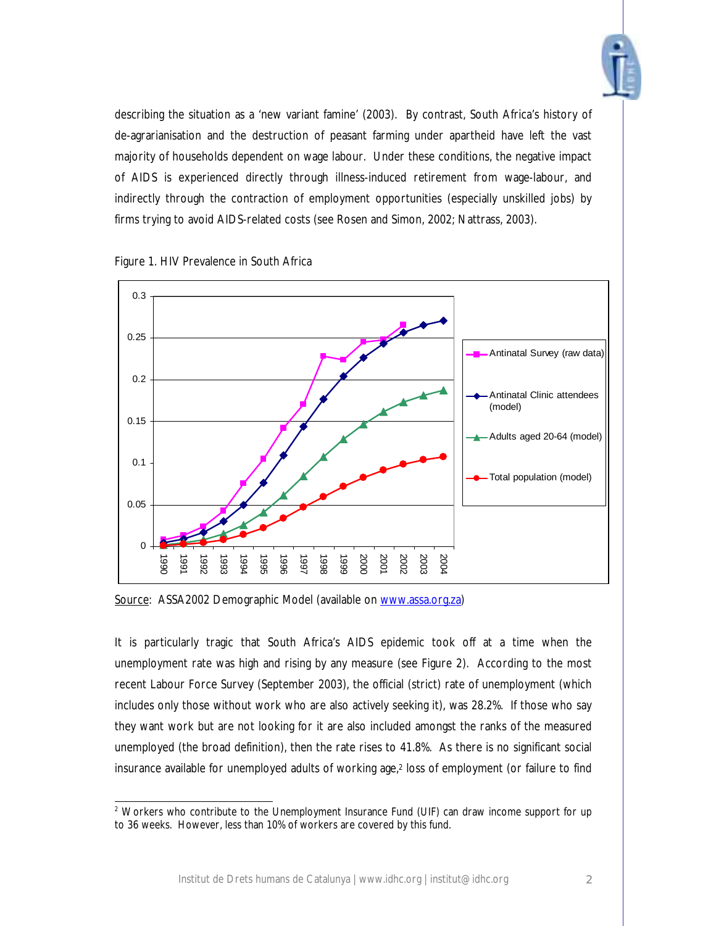

describing the situation as a 'new variant famine' (2003). By contrast, South Africa's history of de-agrarianisation and the destruction of peasant farming under apartheid have left the vast majority of households dependent on wage labour. Under these conditions, the negative impact of AIDS is experienced directly through illness-induced retirement from wage-labour, and indirectly through the contraction of employment opportunities (especially unskilled jobs) by firms trying to avoid AIDS-related costs (see Rosen and Simon, 2002; Nattrass, 2003).



Figure 1. HIV Prevalence in South Africa

Source: ASSA2002 Demographic Model (available on www.assa.org.za)

It is particularly tragic that South Africa's AIDS epidemic took off at a time when the unemployment rate was high and rising by any measure (see Figure 2). According to the most recent Labour Force Survey (September 2003), the official (strict) rate of unemployment (which includes only those without work who are also actively seeking it), was 28.2%. If those who say they want work but are not looking for it are also included amongst the ranks of the measured unemployed (the broad definition), then the rate rises to 41.8%. As there is no significant social insurance available for unemployed adults of working age,2 loss of employment (or failure to find

 2 Workers who contribute to the Unemployment Insurance Fund (UIF) can draw income support for up to 36 weeks. However, less than 10% of workers are covered by this fund.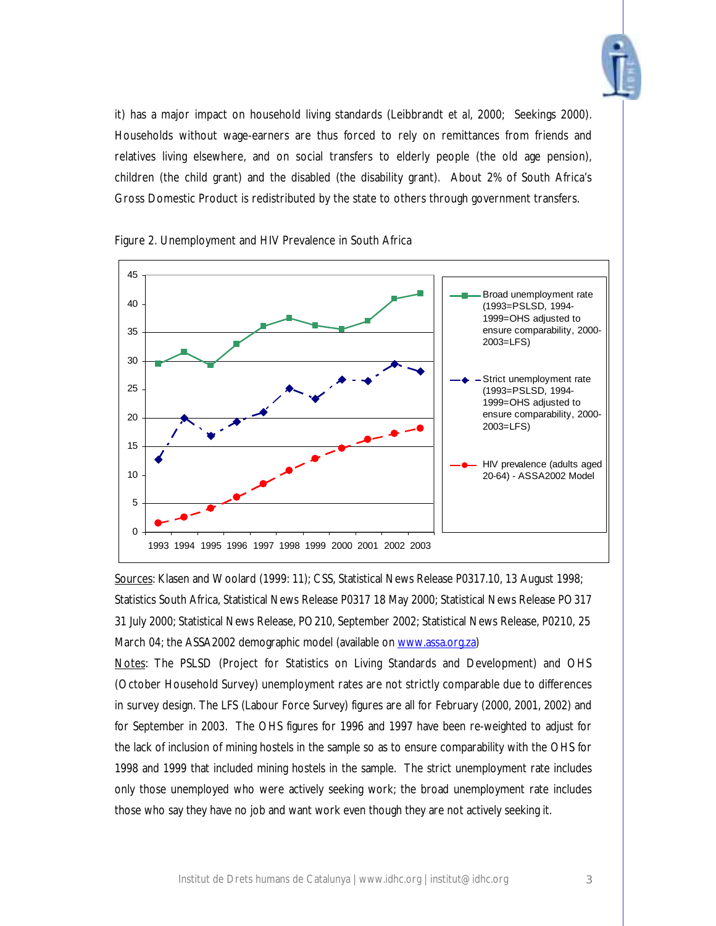

it) has a major impact on household living standards (Leibbrandt *et al*, 2000; Seekings 2000). Households without wage-earners are thus forced to rely on remittances from friends and relatives living elsewhere, and on social transfers to elderly people (the old age pension), children (the child grant) and the disabled (the disability grant). About 2% of South Africa's Gross Domestic Product is redistributed by the state to others through government transfers.



Figure 2. Unemployment and HIV Prevalence in South Africa

Sources: Klasen and Woolard (1999: 11); CSS, Statistical News Release P0317.10, 13 August 1998; Statistics South Africa, Statistical News Release P0317 18 May 2000; Statistical News Release PO317 31 July 2000; Statistical News Release, PO210, September 2002; Statistical News Release, P0210, 25 March 04; the ASSA2002 demographic model (available on www.assa.org.za)

Notes: The PSLSD (Project for Statistics on Living Standards and Development) and OHS (October Household Survey) unemployment rates are not strictly comparable due to differences in survey design. The LFS (Labour Force Survey) figures are all for February (2000, 2001, 2002) and for September in 2003. The OHS figures for 1996 and 1997 have been re-weighted to adjust for the lack of inclusion of mining hostels in the sample so as to ensure comparability with the OHS for 1998 and 1999 that included mining hostels in the sample. The strict unemployment rate includes only those unemployed who were actively seeking work; the broad unemployment rate includes those who say they have no job and want work even though they are not actively seeking it.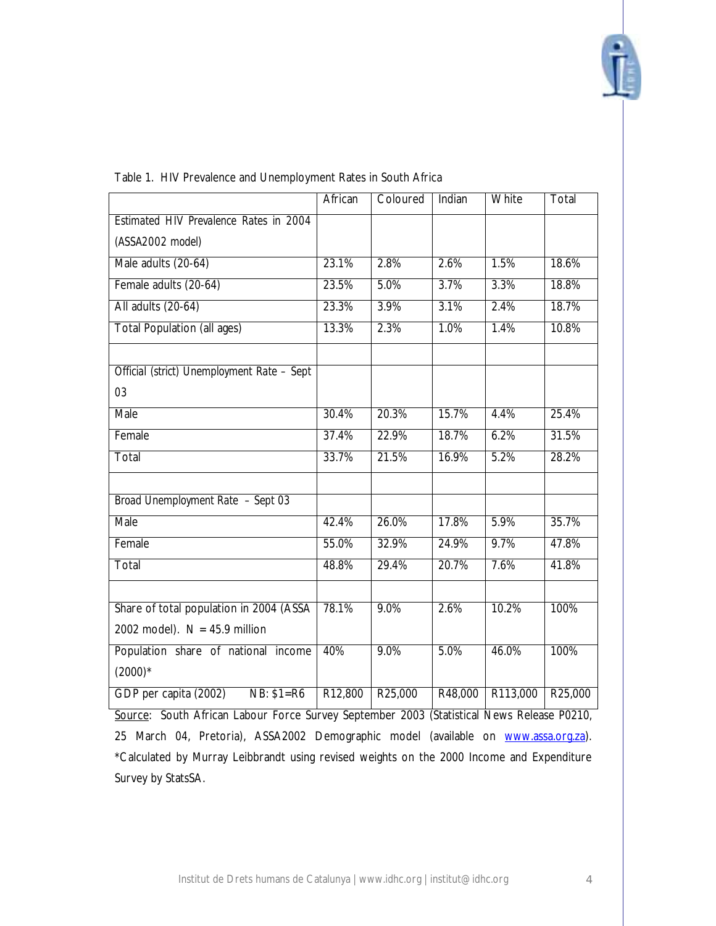|                                                                                           | African | Coloured | Indian  | White    | Total   |
|-------------------------------------------------------------------------------------------|---------|----------|---------|----------|---------|
| Estimated HIV Prevalence Rates in 2004                                                    |         |          |         |          |         |
| (ASSA2002 model)                                                                          |         |          |         |          |         |
| Male adults (20-64)                                                                       | 23.1%   | 2.8%     | 2.6%    | 1.5%     | 18.6%   |
| Female adults (20-64)                                                                     | 23.5%   | 5.0%     | 3.7%    | 3.3%     | 18.8%   |
| All adults (20-64)                                                                        | 23.3%   | 3.9%     | 3.1%    | 2.4%     | 18.7%   |
| <b>Total Population (all ages)</b>                                                        | 13.3%   | 2.3%     | 1.0%    | 1.4%     | 10.8%   |
|                                                                                           |         |          |         |          |         |
| Official (strict) Unemployment Rate - Sept                                                |         |          |         |          |         |
| 03                                                                                        |         |          |         |          |         |
| Male                                                                                      | 30.4%   | 20.3%    | 15.7%   | 4.4%     | 25.4%   |
| Female                                                                                    | 37.4%   | 22.9%    | 18.7%   | 6.2%     | 31.5%   |
| Total                                                                                     | 33.7%   | 21.5%    | 16.9%   | 5.2%     | 28.2%   |
|                                                                                           |         |          |         |          |         |
| Broad Unemployment Rate - Sept 03                                                         |         |          |         |          |         |
| Male                                                                                      | 42.4%   | 26.0%    | 17.8%   | 5.9%     | 35.7%   |
| Female                                                                                    | 55.0%   | 32.9%    | 24.9%   | 9.7%     | 47.8%   |
| Total                                                                                     | 48.8%   | 29.4%    | 20.7%   | 7.6%     | 41.8%   |
|                                                                                           |         |          |         |          |         |
| Share of total population in 2004 (ASSA                                                   | 78.1%   | 9.0%     | 2.6%    | 10.2%    | 100%    |
| 2002 model). $N = 45.9$ million                                                           |         |          |         |          |         |
| Population share of national income                                                       | 40%     | 9.0%     | 5.0%    | 46.0%    | 100%    |
| $(2000)^*$                                                                                |         |          |         |          |         |
| GDP per capita (2002)<br>$NB: $1 = R6$                                                    | R12,800 | R25,000  | R48,000 | R113,000 | R25,000 |
| Source: South African Labour Force Survey September 2003 (Statistical News Release P0210, |         |          |         |          |         |

# Table 1. HIV Prevalence and Unemployment Rates in South Africa

25 March 04, Pretoria), ASSA2002 Demographic model (available on www.assa.org.za). \*Calculated by Murray Leibbrandt using revised weights on the 2000 Income and Expenditure Survey by StatsSA.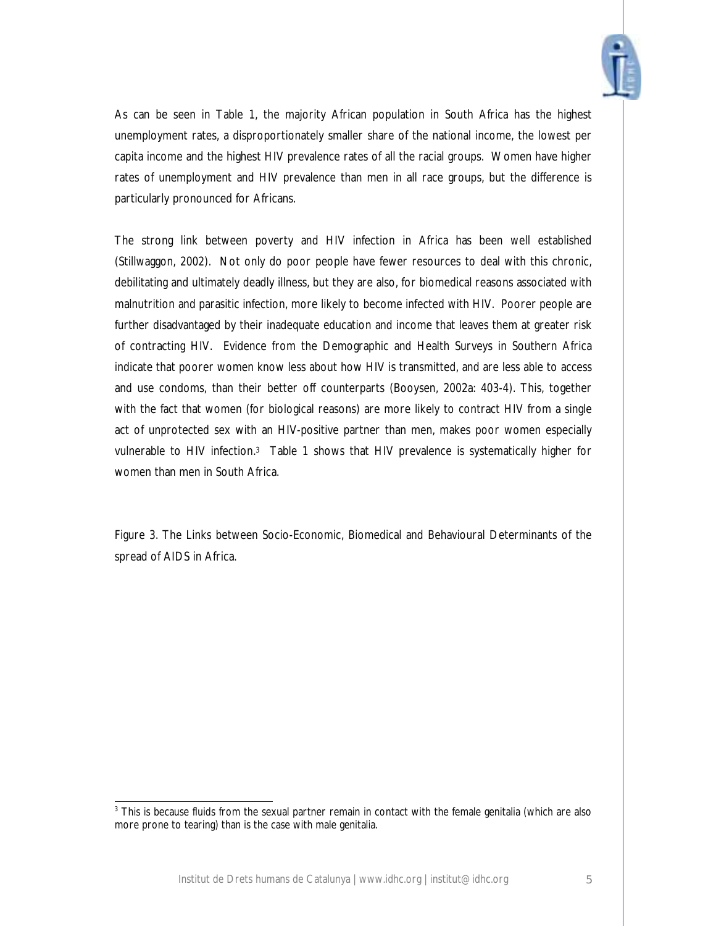

As can be seen in Table 1, the majority African population in South Africa has the highest unemployment rates, a disproportionately smaller share of the national income, the lowest per capita income and the highest HIV prevalence rates of all the racial groups. Women have higher rates of unemployment and HIV prevalence than men in all race groups, but the difference is particularly pronounced for Africans.

The strong link between poverty and HIV infection in Africa has been well established (Stillwaggon, 2002). Not only do poor people have fewer resources to deal with this chronic, debilitating and ultimately deadly illness, but they are also, for biomedical reasons associated with malnutrition and parasitic infection, more likely to become infected with HIV. Poorer people are further disadvantaged by their inadequate education and income that leaves them at greater risk of contracting HIV. Evidence from the Demographic and Health Surveys in Southern Africa indicate that poorer women know less about how HIV is transmitted, and are less able to access and use condoms, than their better off counterparts (Booysen, 2002a: 403-4). This, together with the fact that women (for biological reasons) are more likely to contract HIV from a single act of unprotected sex with an HIV-positive partner than men, makes poor women especially vulnerable to HIV infection.3 Table 1 shows that HIV prevalence is systematically higher for women than men in South Africa.

Figure 3. The Links between Socio-Economic, Biomedical and Behavioural Determinants of the spread of AIDS in Africa.

 3 This is because fluids from the sexual partner remain in contact with the female genitalia (which are also more prone to tearing) than is the case with male genitalia.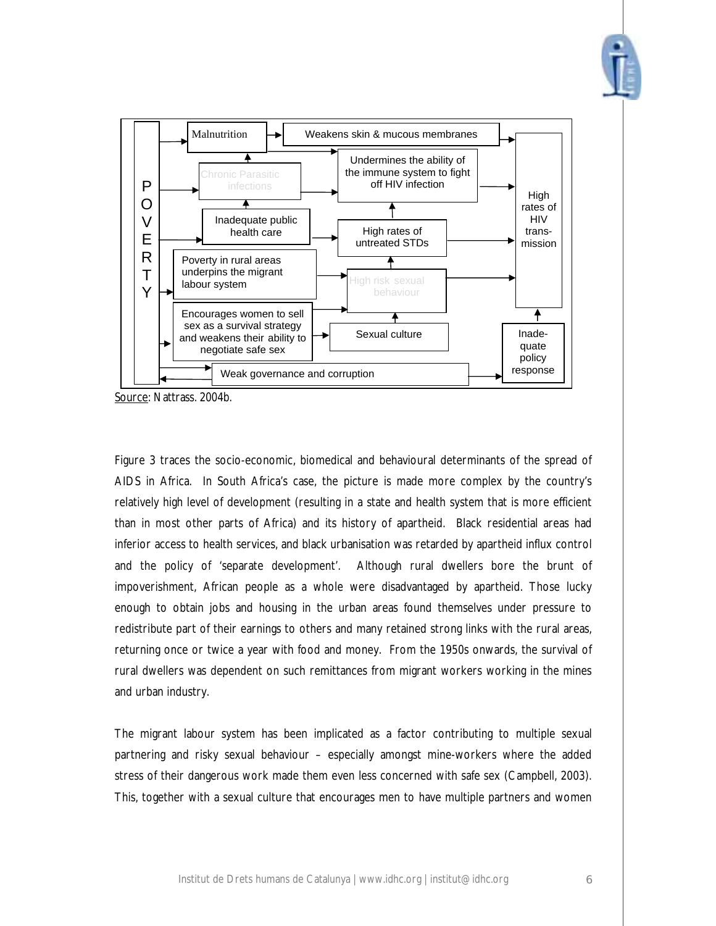



Source: Nattrass. 2004b.

Figure 3 traces the socio-economic, biomedical and behavioural determinants of the spread of AIDS in Africa. In South Africa's case, the picture is made more complex by the country's relatively high level of development (resulting in a state and health system that is more efficient than in most other parts of Africa) and its history of apartheid. Black residential areas had inferior access to health services, and black urbanisation was retarded by apartheid influx control and the policy of 'separate development'. Although rural dwellers bore the brunt of impoverishment, African people as a whole were disadvantaged by apartheid. Those lucky enough to obtain jobs and housing in the urban areas found themselves under pressure to redistribute part of their earnings to others and many retained strong links with the rural areas, returning once or twice a year with food and money. From the 1950s onwards, the survival of rural dwellers was dependent on such remittances from migrant workers working in the mines and urban industry.

The migrant labour system has been implicated as a factor contributing to multiple sexual partnering and risky sexual behaviour – especially amongst mine-workers where the added stress of their dangerous work made them even less concerned with safe sex (Campbell, 2003). This, together with a sexual culture that encourages men to have multiple partners and women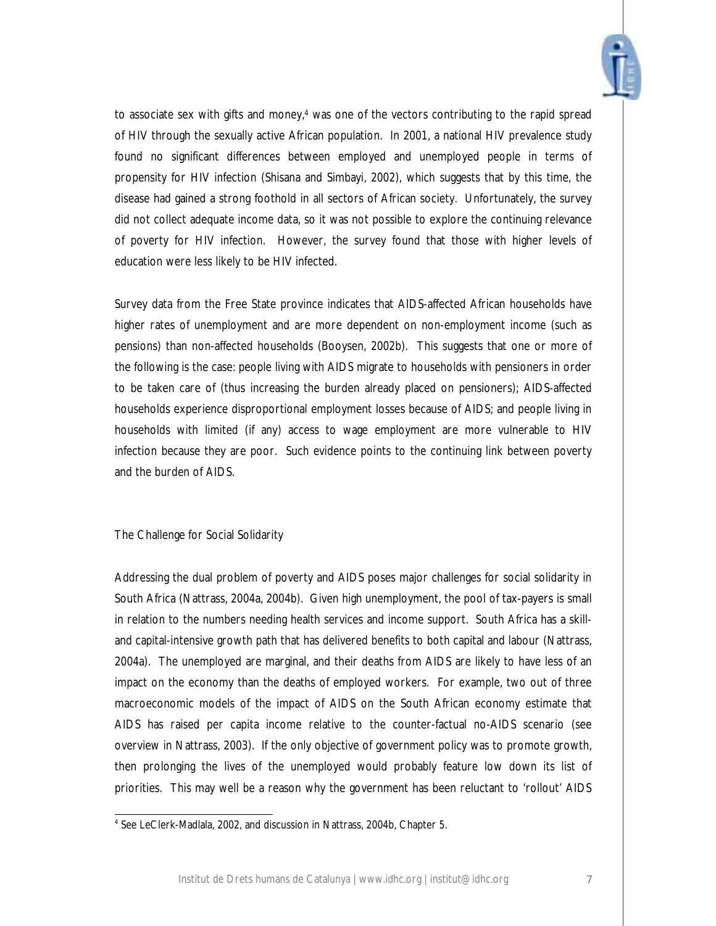

to associate sex with gifts and money, $4$  was one of the vectors contributing to the rapid spread of HIV through the sexually active African population. In 2001, a national HIV prevalence study found no significant differences between employed and unemployed people in terms of propensity for HIV infection (Shisana and Simbayi, 2002), which suggests that by this time, the disease had gained a strong foothold in all sectors of African society. Unfortunately, the survey did not collect adequate income data, so it was not possible to explore the continuing relevance of poverty for HIV infection. However, the survey found that those with higher levels of education were less likely to be HIV infected.

Survey data from the Free State province indicates that AIDS-affected African households have higher rates of unemployment and are more dependent on non-employment income (such as pensions) than non-affected households (Booysen, 2002b). This suggests that one or more of the following is the case: people living with AIDS migrate to households with pensioners in order to be taken care of (thus increasing the burden already placed on pensioners); AIDS-affected households experience disproportional employment losses because of AIDS; and people living in households with limited (if any) access to wage employment are more vulnerable to HIV infection because they are poor. Such evidence points to the continuing link between poverty and the burden of AIDS.

The Challenge for Social Solidarity

Addressing the dual problem of poverty and AIDS poses major challenges for social solidarity in South Africa (Nattrass, 2004a, 2004b). Given high unemployment, the pool of tax-payers is small in relation to the numbers needing health services and income support. South Africa has a skilland capital-intensive growth path that has delivered benefits to both capital and labour (Nattrass, 2004a). The unemployed are marginal, and their deaths from AIDS are likely to have less of an impact on the economy than the deaths of employed workers. For example, two out of three macroeconomic models of the impact of AIDS on the South African economy estimate that AIDS has raised per capita income relative to the counter-factual no-AIDS scenario (see overview in Nattrass, 2003). If the only objective of government policy was to promote growth, then prolonging the lives of the unemployed would probably feature low down its list of priorities. This may well be a reason why the government has been reluctant to 'rollout' AIDS

 $\overline{a}$ 4 See LeClerk-Madlala, 2002, and discussion in Nattrass, 2004b, Chapter 5.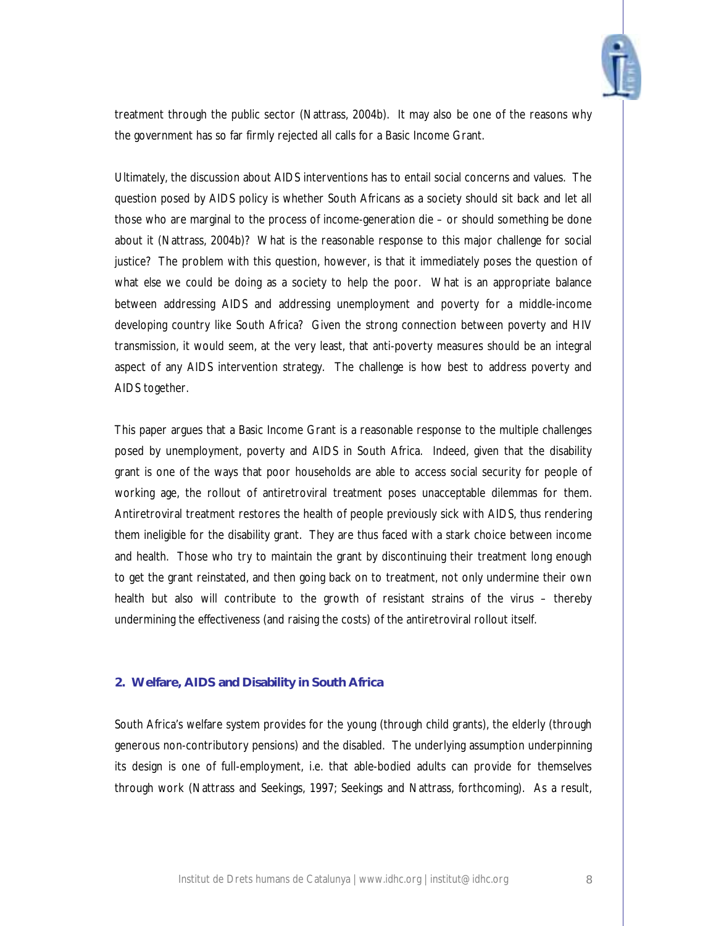

treatment through the public sector (Nattrass, 2004b). It may also be one of the reasons why the government has so far firmly rejected all calls for a Basic Income Grant.

Ultimately, the discussion about AIDS interventions has to entail social concerns and values. The question posed by AIDS policy is whether South Africans as a society should sit back and let all those who are marginal to the process of income-generation die – or should something be done about it (Nattrass, 2004b)? What is the reasonable response to this major challenge for social justice? The problem with this question, however, is that it immediately poses the question of what *else* we could be doing as a society to help the poor. What is an appropriate balance between addressing AIDS and addressing unemployment and poverty for a middle-income developing country like South Africa? Given the strong connection between poverty and HIV transmission, it would seem, at the very least, that anti-poverty measures should be an integral aspect of any AIDS intervention strategy. The challenge is how best to address poverty and AIDS together.

This paper argues that a Basic Income Grant is a reasonable response to the multiple challenges posed by unemployment, poverty and AIDS in South Africa. Indeed, given that the disability grant is one of the ways that poor households are able to access social security for people of working age, the rollout of antiretroviral treatment poses unacceptable dilemmas for them. Antiretroviral treatment restores the health of people previously sick with AIDS, thus rendering them ineligible for the disability grant. They are thus faced with a stark choice between income and health. Those who try to maintain the grant by discontinuing their treatment long enough to get the grant reinstated, and then going back on to treatment, not only undermine their own health but also will contribute to the growth of resistant strains of the virus – thereby undermining the effectiveness (and raising the costs) of the antiretroviral rollout itself.

#### **2. Welfare, AIDS and Disability in South Africa**

South Africa's welfare system provides for the young (through child grants), the elderly (through generous non-contributory pensions) and the disabled. The underlying assumption underpinning its design is one of full-employment, i.e. that able-bodied adults can provide for themselves through work (Nattrass and Seekings, 1997; Seekings and Nattrass, forthcoming). As a result,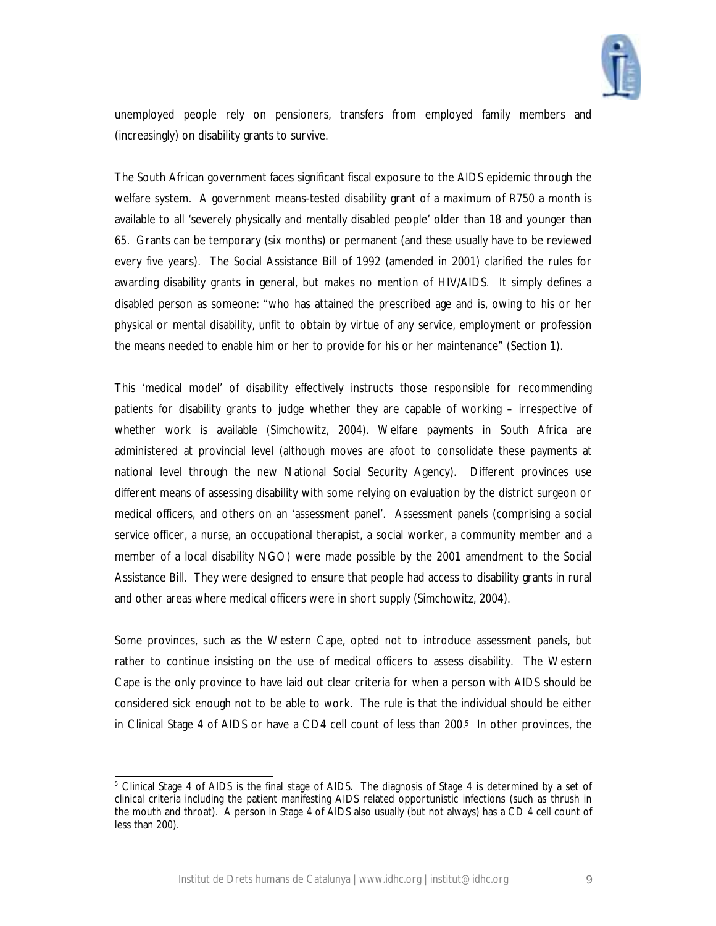

unemployed people rely on pensioners, transfers from employed family members and (increasingly) on disability grants to survive.

The South African government faces significant fiscal exposure to the AIDS epidemic through the welfare system. A government means-tested disability grant of a maximum of R750 a month is available to all 'severely physically and mentally disabled people' older than 18 and younger than 65. Grants can be temporary (six months) or permanent (and these usually have to be reviewed every five years). The Social Assistance Bill of 1992 (amended in 2001) clarified the rules for awarding disability grants in general, but makes no mention of HIV/AIDS. It simply defines a disabled person as someone: "who has attained the prescribed age and is, owing to his or her physical or mental disability, unfit to obtain by virtue of any service, employment or profession the means needed to enable him or her to provide for his or her maintenance" (Section 1).

This 'medical model' of disability effectively instructs those responsible for recommending patients for disability grants to judge whether they are capable of working – irrespective of whether work is available (Simchowitz, 2004). Welfare payments in South Africa are administered at provincial level (although moves are afoot to consolidate these payments at national level through the new National Social Security Agency). Different provinces use different means of assessing disability with some relying on evaluation by the district surgeon or medical officers, and others on an 'assessment panel'. Assessment panels (comprising a social service officer, a nurse, an occupational therapist, a social worker, a community member and a member of a local disability NGO) were made possible by the 2001 amendment to the Social Assistance Bill. They were designed to ensure that people had access to disability grants in rural and other areas where medical officers were in short supply (Simchowitz, 2004).

Some provinces, such as the Western Cape, opted not to introduce assessment panels, but rather to continue insisting on the use of medical officers to assess disability. The Western Cape is the only province to have laid out clear criteria for when a person with AIDS should be considered sick enough not to be able to work. The rule is that the individual should be either in Clinical Stage 4 of AIDS or have a CD4 cell count of less than 200.5 In other provinces, the

 5 Clinical Stage 4 of AIDS is the final stage of AIDS. The diagnosis of Stage 4 is determined by a set of clinical criteria including the patient manifesting AIDS related opportunistic infections (such as thrush in the mouth and throat). A person in Stage 4 of AIDS also usually (but not always) has a CD 4 cell count of less than 200).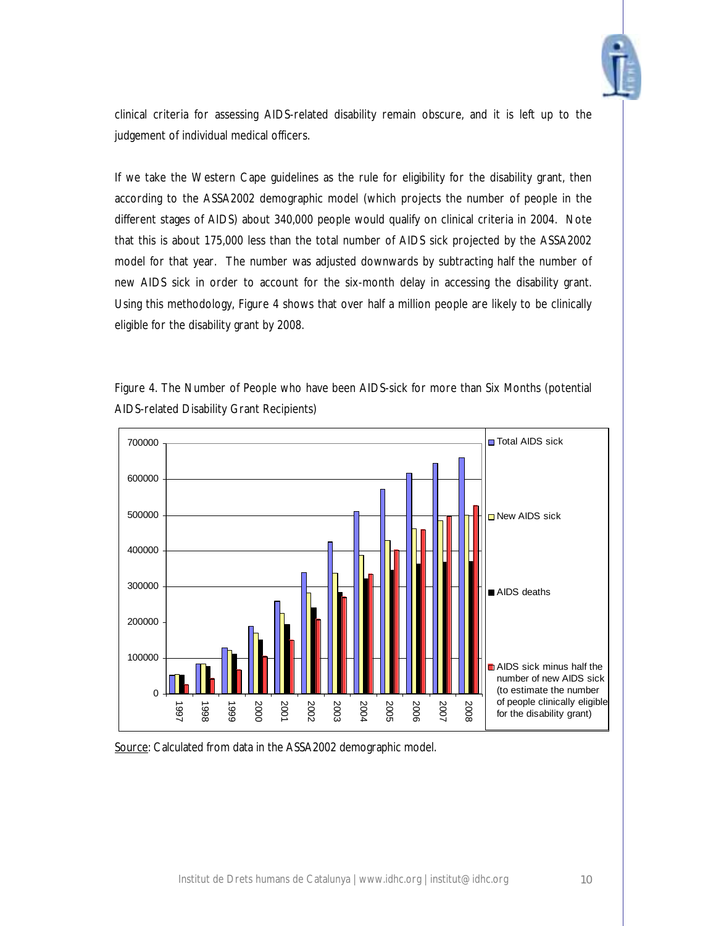

clinical criteria for assessing AIDS-related disability remain obscure, and it is left up to the judgement of individual medical officers.

If we take the Western Cape guidelines as the rule for eligibility for the disability grant, then according to the ASSA2002 demographic model (which projects the number of people in the different stages of AIDS) about 340,000 people would qualify on clinical criteria in 2004. Note that this is about 175,000 less than the total number of AIDS sick projected by the ASSA2002 model for that year. The number was adjusted downwards by subtracting half the number of new AIDS sick in order to account for the six-month delay in accessing the disability grant. Using this methodology, Figure 4 shows that over half a million people are likely to be clinically eligible for the disability grant by 2008.

Figure 4. The Number of People who have been AIDS-sick for more than Six Months (potential AIDS-related Disability Grant Recipients)



Source: Calculated from data in the ASSA2002 demographic model.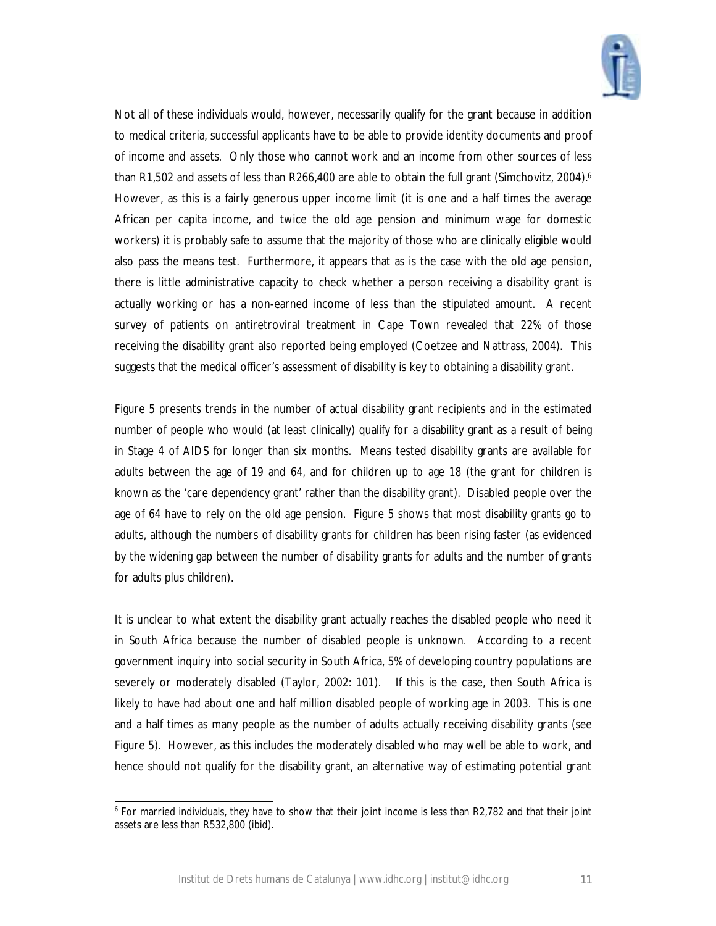

Not all of these individuals would, however, necessarily qualify for the grant because in addition to medical criteria, successful applicants have to be able to provide identity documents and proof of income and assets. Only those who cannot work and an income from other sources of less than R1,502 and assets of less than R266,400 are able to obtain the full grant (Simchovitz, 2004).<sup>6</sup> However, as this is a fairly generous upper income limit (it is one and a half times the average African per capita income, and twice the old age pension and minimum wage for domestic workers) it is probably safe to assume that the majority of those who are clinically eligible would also pass the means test. Furthermore, it appears that as is the case with the old age pension, there is little administrative capacity to check whether a person receiving a disability grant is actually working or has a non-earned income of less than the stipulated amount. A recent survey of patients on antiretroviral treatment in Cape Town revealed that 22% of those receiving the disability grant also reported being employed (Coetzee and Nattrass, 2004). This suggests that the medical officer's assessment of disability is key to obtaining a disability grant.

Figure 5 presents trends in the number of actual disability grant recipients and in the estimated number of people who would (at least clinically) qualify for a disability grant as a result of being in Stage 4 of AIDS for longer than six months. Means tested disability grants are available for adults between the age of 19 and 64, and for children up to age 18 (the grant for children is known as the 'care dependency grant' rather than the disability grant). Disabled people over the age of 64 have to rely on the old age pension. Figure 5 shows that most disability grants go to adults, although the numbers of disability grants for children has been rising faster (as evidenced by the widening gap between the number of disability grants for adults and the number of grants for adults plus children).

It is unclear to what extent the disability grant actually reaches the disabled people who need it in South Africa because the number of disabled people is unknown. According to a recent government inquiry into social security in South Africa, 5% of developing country populations are severely or moderately disabled (Taylor, 2002: 101). If this is the case, then South Africa is likely to have had about one and half million disabled people of working age in 2003. This is one and a half times as many people as the number of adults actually receiving disability grants (see Figure 5). However, as this includes the moderately disabled who may well be able to work, and hence should not qualify for the disability grant, an alternative way of estimating potential grant

 6 For married individuals, they have to show that their joint income is less than R2,782 and that their joint assets are less than R532,800 (ibid).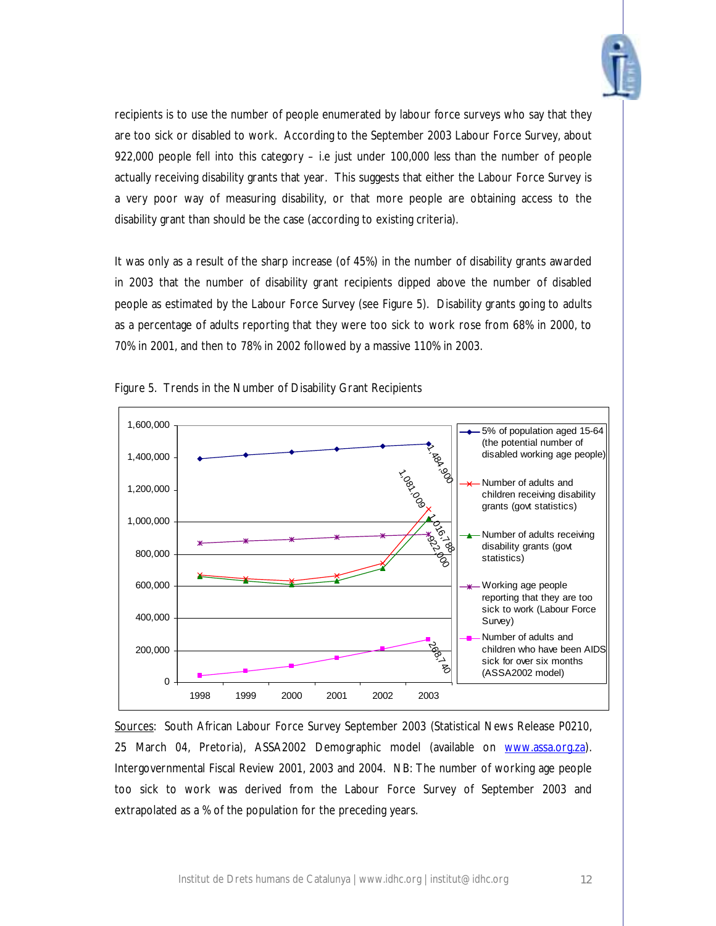

recipients is to use the number of people enumerated by labour force surveys who say that they are too sick or disabled to work. According to the September 2003 Labour Force Survey, about 922,000 people fell into this category – i.e just under 100,000 *less* than the number of people actually receiving disability grants that year. This suggests that either the Labour Force Survey is a very poor way of measuring disability, or that more people are obtaining access to the disability grant than should be the case (according to existing criteria).

It was only as a result of the sharp increase (of 45%) in the number of disability grants awarded in 2003 that the number of disability grant recipients dipped above the number of disabled people as estimated by the Labour Force Survey (see Figure 5). Disability grants going to adults as a percentage of adults reporting that they were too sick to work rose from 68% in 2000, to 70% in 2001, and then to 78% in 2002 followed by a massive 110% in 2003.



Figure 5. Trends in the Number of Disability Grant Recipients

Sources: South African Labour Force Survey September 2003 (Statistical News Release P0210, 25 March 04, Pretoria), ASSA2002 Demographic model (available on www.assa.org.za). Intergovernmental Fiscal Review 2001, 2003 and 2004. NB: The number of working age people too sick to work was derived from the Labour Force Survey of September 2003 and extrapolated as a % of the population for the preceding years.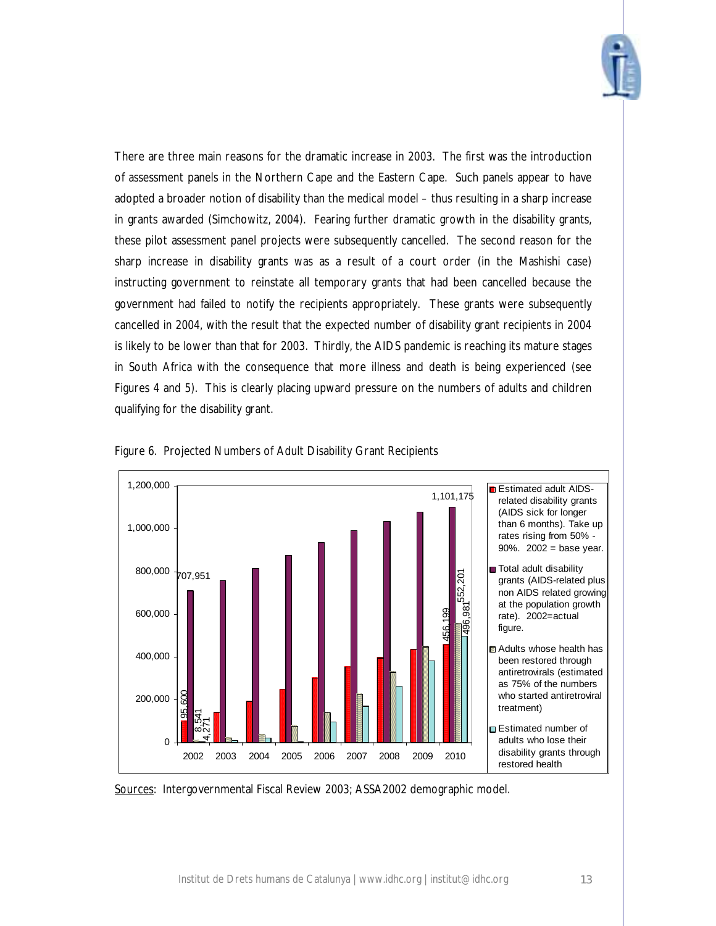

There are three main reasons for the dramatic increase in 2003. The first was the introduction of assessment panels in the Northern Cape and the Eastern Cape. Such panels appear to have adopted a broader notion of disability than the medical model – thus resulting in a sharp increase in grants awarded (Simchowitz, 2004). Fearing further dramatic growth in the disability grants, these pilot assessment panel projects were subsequently cancelled. The second reason for the sharp increase in disability grants was as a result of a court order (in the Mashishi case) instructing government to reinstate all temporary grants that had been cancelled because the government had failed to notify the recipients appropriately. These grants were subsequently cancelled in 2004, with the result that the expected number of disability grant recipients in 2004 is likely to be lower than that for 2003. Thirdly, the AIDS pandemic is reaching its mature stages in South Africa with the consequence that more illness and death is being experienced (see Figures 4 and 5). This is clearly placing upward pressure on the numbers of adults and children qualifying for the disability grant.



Figure 6. Projected Numbers of Adult Disability Grant Recipients

Sources: Intergovernmental Fiscal Review 2003; ASSA2002 demographic model.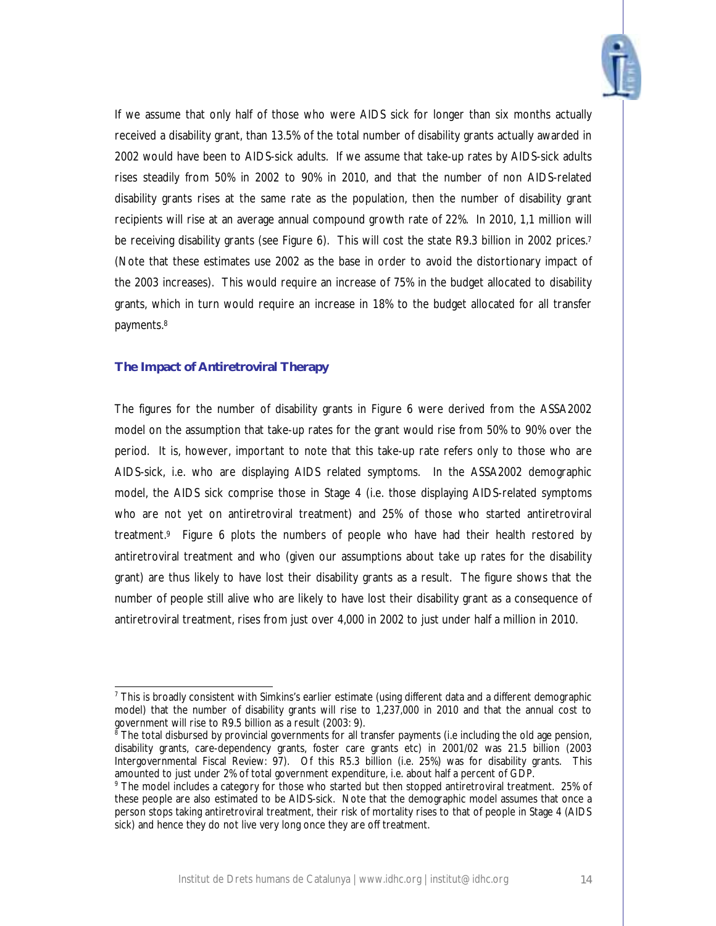

If we assume that only half of those who were AIDS sick for longer than six months actually received a disability grant, than 13.5% of the total number of disability grants actually awarded in 2002 would have been to AIDS-sick adults. If we assume that take-up rates by AIDS-sick adults rises steadily from 50% in 2002 to 90% in 2010, and that the number of non AIDS-related disability grants rises at the same rate as the population, then the number of disability grant recipients will rise at an average annual compound growth rate of 22%. In 2010, 1,1 million will be receiving disability grants (see Figure 6). This will cost the state R9.3 billion in 2002 prices.<sup>7</sup> (Note that these estimates use 2002 as the base in order to avoid the distortionary impact of the 2003 increases). This would require an increase of 75% in the budget allocated to disability grants, which in turn would require an increase in 18% to the budget allocated for all transfer payments.8

# **The Impact of Antiretroviral Therapy**

The figures for the number of disability grants in Figure 6 were derived from the ASSA2002 model on the assumption that take-up rates for the grant would rise from 50% to 90% over the period. It is, however, important to note that this take-up rate refers only to those who are AIDS-sick, i.e. who are displaying AIDS related symptoms. In the ASSA2002 demographic model, the AIDS sick comprise those in Stage 4 (i.e. those displaying AIDS-related symptoms who are not yet on antiretroviral treatment) and 25% of those who started antiretroviral treatment.9 Figure 6 plots the numbers of people who have had their health restored by antiretroviral treatment and who (given our assumptions about take up rates for the disability grant) are thus likely to have lost their disability grants as a result. The figure shows that the number of people still alive who are likely to have lost their disability grant as a consequence of antiretroviral treatment, rises from just over 4,000 in 2002 to just under half a million in 2010.

 $\overline{a}$ <sup>7</sup> This is broadly consistent with Simkins's earlier estimate (using different data and a different demographic model) that the number of disability grants will rise to 1,237,000 in 2010 and that the annual cost to government will rise to R9.5 billion as a result (2003: 9).<br><sup>8</sup> The total disbursed by provincial governments for all transfer payments (i.e including the old age pension,

disability grants, care-dependency grants, foster care grants etc) in 2001/02 was 21.5 billion (2003 Intergovernmental Fiscal Review: 97). Of this R5.3 billion (i.e. 25%) was for disability grants. This amounted to just under 2% of total government expenditure, i.e. about half a percent of GDP.

<sup>&</sup>lt;sup>9</sup> The model includes a category for those who started but then stopped antiretroviral treatment. 25% of these people are also estimated to be AIDS-sick. Note that the demographic model assumes that once a person stops taking antiretroviral treatment, their risk of mortality rises to that of people in Stage 4 (AIDS sick) and hence they do not live very long once they are off treatment.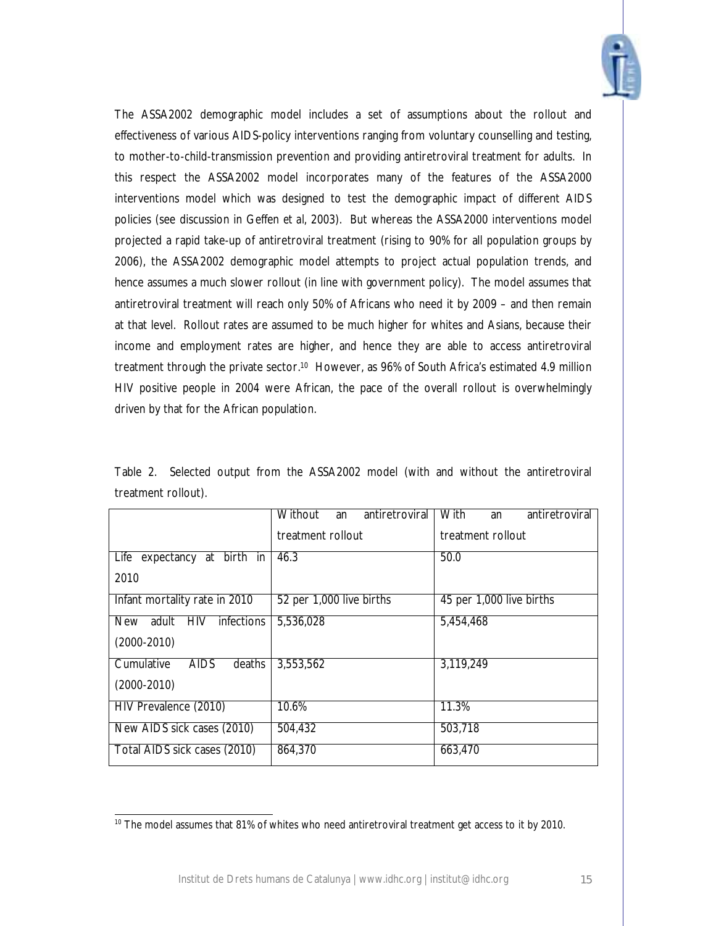

The ASSA2002 demographic model includes a set of assumptions about the rollout and effectiveness of various AIDS-policy interventions ranging from voluntary counselling and testing, to mother-to-child-transmission prevention and providing antiretroviral treatment for adults. In this respect the ASSA2002 model incorporates many of the features of the ASSA2000 interventions model which was designed to test the demographic impact of different AIDS policies (see discussion in Geffen *et al*, 2003). But whereas the ASSA2000 interventions model projected a rapid take-up of antiretroviral treatment (rising to 90% for all population groups by 2006), the ASSA2002 demographic model attempts to project actual population trends, and hence assumes a much slower rollout (in line with government policy). The model assumes that antiretroviral treatment will reach only 50% of Africans who need it by 2009 – and then remain at that level. Rollout rates are assumed to be much higher for whites and Asians, because their income and employment rates are higher, and hence they are able to access antiretroviral treatment through the private sector.10 However, as 96% of South Africa's estimated 4.9 million HIV positive people in 2004 were African, the pace of the overall rollout is overwhelmingly driven by that for the African population.

|                                                 | Without<br>antiretroviral<br>an | With<br>antiretroviral<br>an |  |  |  |
|-------------------------------------------------|---------------------------------|------------------------------|--|--|--|
|                                                 | treatment rollout               | treatment rollout            |  |  |  |
| Life expectancy at birth in                     | 46.3                            | 50.0                         |  |  |  |
| 2010                                            |                                 |                              |  |  |  |
| Infant mortality rate in 2010                   | 52 per 1,000 live births        | 45 per 1,000 live births     |  |  |  |
| adult<br>HIV<br><i>infections</i><br><b>New</b> | 5,536,028                       | 5,454,468                    |  |  |  |
| $(2000 - 2010)$                                 |                                 |                              |  |  |  |
| <b>AIDS</b><br>Cumulative<br>deaths             | 3,553,562                       | 3,119,249                    |  |  |  |
| $(2000 - 2010)$                                 |                                 |                              |  |  |  |
| HIV Prevalence (2010)                           | 10.6%                           | 11.3%                        |  |  |  |
| New AIDS sick cases (2010)                      | 504,432                         | 503,718                      |  |  |  |
| Total AIDS sick cases (2010)                    | 864,370                         | 663,470                      |  |  |  |

Table 2. Selected output from the ASSA2002 model (with and without the antiretroviral treatment rollout).

 $\overline{a}$  $10$  The model assumes that 81% of whites who need antiretroviral treatment get access to it by 2010.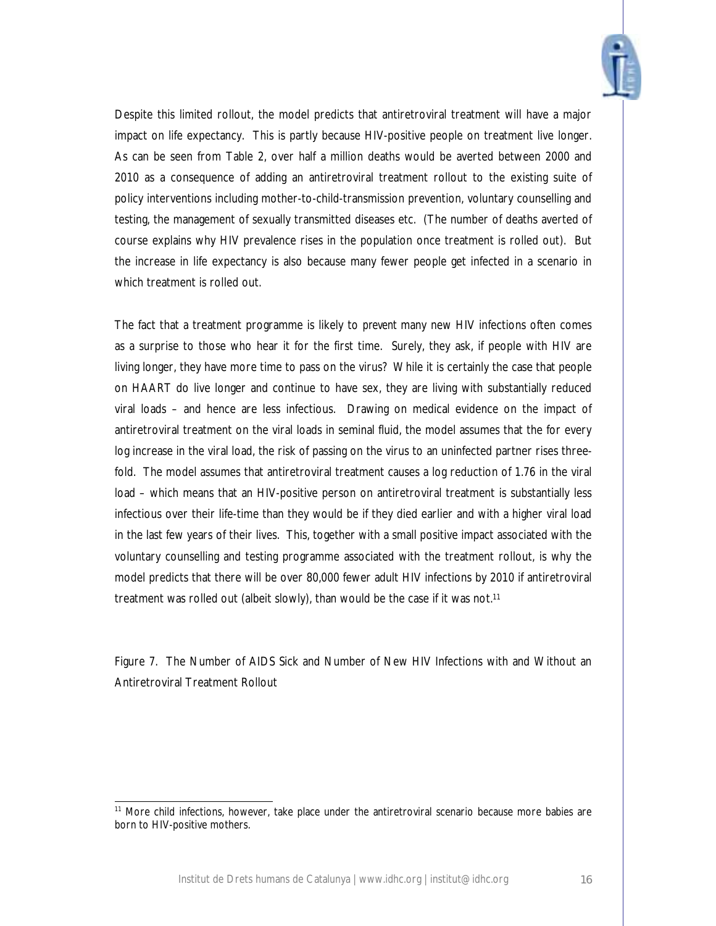

Despite this limited rollout, the model predicts that antiretroviral treatment will have a major impact on life expectancy. This is partly because HIV-positive people on treatment live longer. As can be seen from Table 2, over half a million deaths would be averted between 2000 and 2010 as a consequence of adding an antiretroviral treatment rollout to the existing suite of policy interventions including mother-to-child-transmission prevention, voluntary counselling and testing, the management of sexually transmitted diseases etc. (The number of deaths averted of course explains why HIV prevalence rises in the population once treatment is rolled out). But the increase in life expectancy is also because many fewer people get infected in a scenario in which treatment is rolled out.

The fact that a treatment programme is likely to *prevent* many new HIV infections often comes as a surprise to those who hear it for the first time. Surely, they ask, if people with HIV are living longer, they have more time to pass on the virus? While it is certainly the case that people on HAART do live longer and continue to have sex, they are living with substantially reduced viral loads – and hence are less infectious. Drawing on medical evidence on the impact of antiretroviral treatment on the viral loads in seminal fluid, the model assumes that the for every log increase in the viral load, the risk of passing on the virus to an uninfected partner rises threefold. The model assumes that antiretroviral treatment causes a log reduction of 1.76 in the viral load – which means that an HIV-positive person on antiretroviral treatment is substantially less infectious over their life-time than they would be if they died earlier and with a higher viral load in the last few years of their lives. This, together with a small positive impact associated with the voluntary counselling and testing programme associated with the treatment rollout, is why the model predicts that there will be over 80,000 fewer adult HIV infections by 2010 if antiretroviral treatment was rolled out (albeit slowly), than would be the case if it was not.11

Figure 7. The Number of AIDS Sick and Number of New HIV Infections with and Without an Antiretroviral Treatment Rollout

1

<sup>&</sup>lt;sup>11</sup> More child infections, however, take place under the antiretroviral scenario because more babies are born to HIV-positive mothers.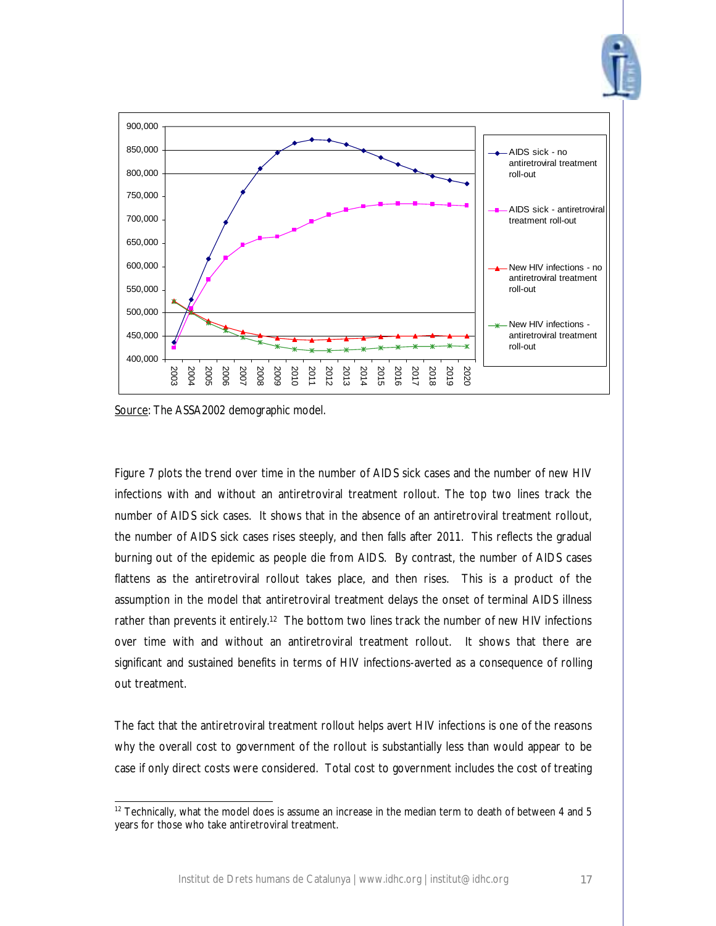



Source: The ASSA2002 demographic model.

Figure 7 plots the trend over time in the number of AIDS sick cases and the number of new HIV infections with and without an antiretroviral treatment rollout. The top two lines track the number of AIDS sick cases. It shows that in the absence of an antiretroviral treatment rollout, the number of AIDS sick cases rises steeply, and then falls after 2011. This reflects the gradual burning out of the epidemic as people die from AIDS. By contrast, the number of AIDS cases flattens as the antiretroviral rollout takes place, and then rises. This is a product of the assumption in the model that antiretroviral treatment delays the onset of terminal AIDS illness rather than prevents it entirely.12 The bottom two lines track the number of new HIV infections over time with and without an antiretroviral treatment rollout. It shows that there are significant and sustained benefits in terms of HIV infections-averted as a consequence of rolling out treatment.

The fact that the antiretroviral treatment rollout helps avert HIV infections is one of the reasons why the overall cost to government of the rollout is substantially less than would appear to be case if only direct costs were considered. Total cost to government includes the cost of treating

<sup>1</sup>  $12$  Technically, what the model does is assume an increase in the median term to death of between 4 and 5 years for those who take antiretroviral treatment.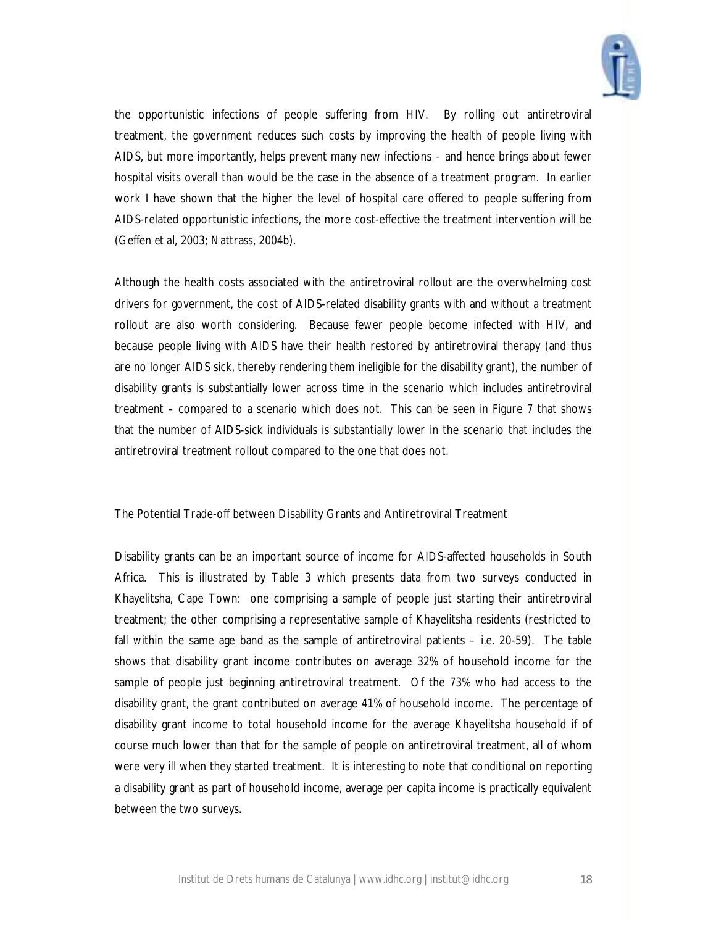

the opportunistic infections of people suffering from HIV. By rolling out antiretroviral treatment, the government reduces such costs by improving the health of people living with AIDS, but more importantly, helps prevent many new infections – and hence brings about fewer hospital visits overall than would be the case in the absence of a treatment program. In earlier work I have shown that the higher the level of hospital care offered to people suffering from AIDS-related opportunistic infections, the more cost-effective the treatment intervention will be (Geffen *et al*, 2003; Nattrass, 2004b).

Although the health costs associated with the antiretroviral rollout are the overwhelming cost drivers for government, the cost of AIDS-related disability grants with and without a treatment rollout are also worth considering. Because fewer people become infected with HIV, and because people living with AIDS have their health restored by antiretroviral therapy (and thus are no longer AIDS sick, thereby rendering them ineligible for the disability grant), the number of disability grants is substantially lower across time in the scenario which includes antiretroviral treatment – compared to a scenario which does not. This can be seen in Figure 7 that shows that the number of AIDS-sick individuals is substantially lower in the scenario that includes the antiretroviral treatment rollout compared to the one that does not.

#### The Potential Trade-off between Disability Grants and Antiretroviral Treatment

Disability grants can be an important source of income for AIDS-affected households in South Africa. This is illustrated by Table 3 which presents data from two surveys conducted in Khayelitsha, Cape Town: one comprising a sample of people just starting their antiretroviral treatment; the other comprising a representative sample of Khayelitsha residents (restricted to fall within the same age band as the sample of antiretroviral patients – i.e. 20-59). The table shows that disability grant income contributes on average 32% of household income for the sample of people just beginning antiretroviral treatment. Of the 73% who had access to the disability grant, the grant contributed on average 41% of household income. The percentage of disability grant income to total household income for the average Khayelitsha household if of course much lower than that for the sample of people on antiretroviral treatment, all of whom were very ill when they started treatment. It is interesting to note that conditional on reporting a disability grant as part of household income, average per capita income is practically equivalent between the two surveys.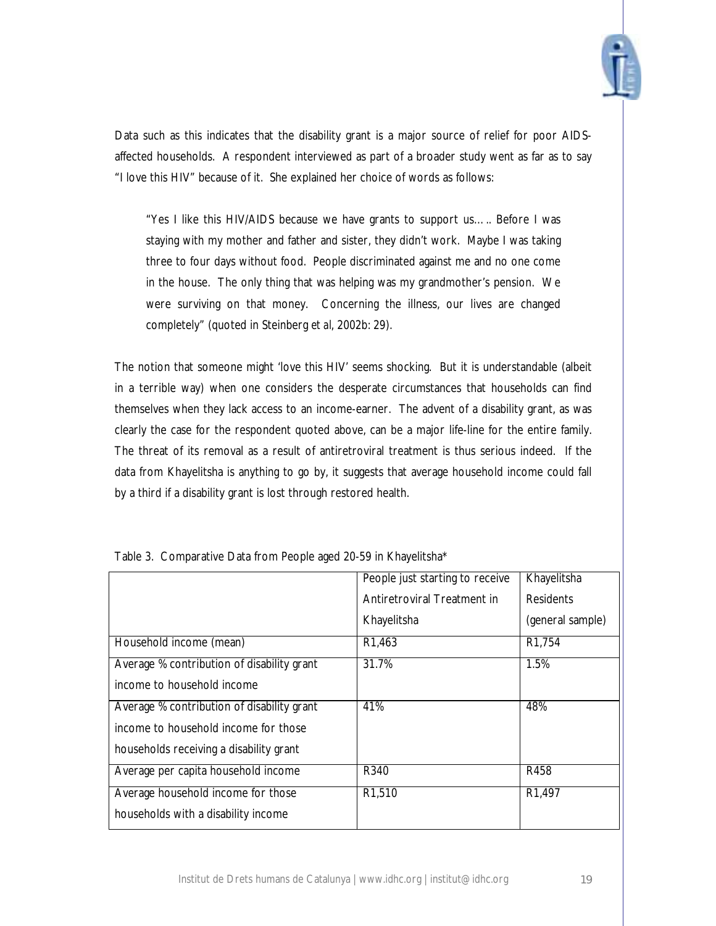

Data such as this indicates that the disability grant is a major source of relief for poor AIDSaffected households. A respondent interviewed as part of a broader study went as far as to say "I love this HIV" because of it. She explained her choice of words as follows:

"Yes I like this HIV/AIDS because we have grants to support us….. Before I was staying with my mother and father and sister, they didn't work. Maybe I was taking three to four days without food. People discriminated against me and no one come in the house. The only thing that was helping was my grandmother's pension. We were surviving on that money. Concerning the illness, our lives are changed completely" (quoted in Steinberg *et al*, 2002b: 29).

The notion that someone might 'love this HIV' seems shocking. But it is understandable (albeit in a terrible way) when one considers the desperate circumstances that households can find themselves when they lack access to an income-earner. The advent of a disability grant, as was clearly the case for the respondent quoted above, can be a major life-line for the entire family. The threat of its removal as a result of antiretroviral treatment is thus serious indeed. If the data from Khayelitsha is anything to go by, it suggests that average household income could fall by a third if a disability grant is lost through restored health.

|                                            | People just starting to receive | Khayelitsha         |  |
|--------------------------------------------|---------------------------------|---------------------|--|
|                                            | Antiretroviral Treatment in     | <b>Residents</b>    |  |
|                                            | Khayelitsha                     | (general sample)    |  |
| Household income (mean)                    | R <sub>1</sub> ,463             | R <sub>1</sub> ,754 |  |
| Average % contribution of disability grant | 31.7%                           | 1.5%                |  |
| income to household income                 |                                 |                     |  |
| Average % contribution of disability grant | 41%                             | 48%                 |  |
| income to household income for those       |                                 |                     |  |
| households receiving a disability grant    |                                 |                     |  |
| Average per capita household income        | R340                            | R458                |  |
| Average household income for those         | R <sub>1</sub> ,510             | R1,497              |  |
| households with a disability income        |                                 |                     |  |

Table 3. Comparative Data from People aged 20-59 in Khayelitsha\*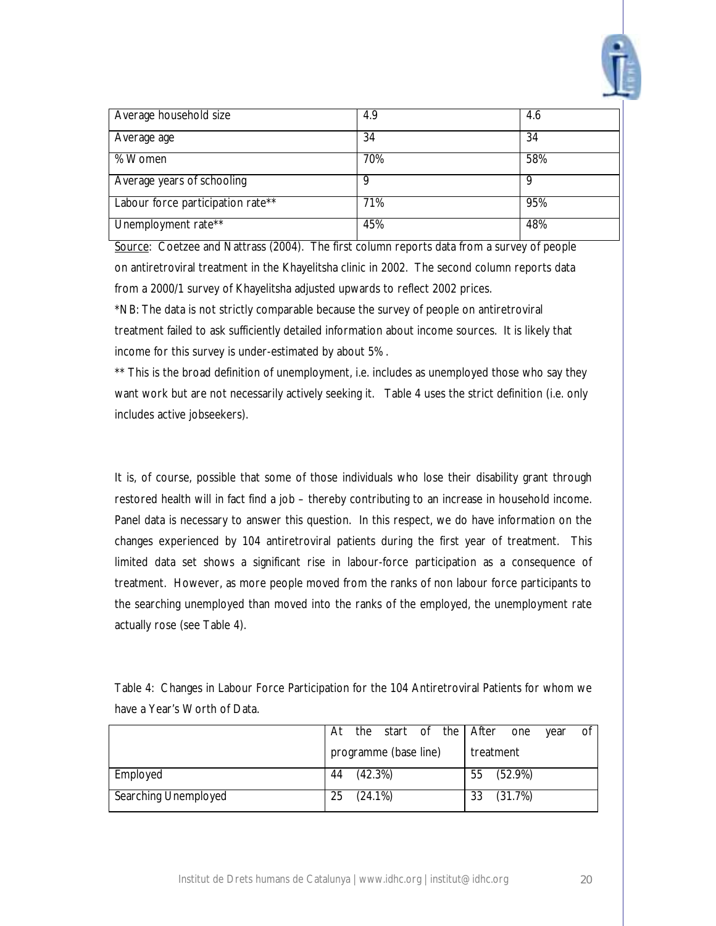

| Average household size            | 4.9 | 4.6 |
|-----------------------------------|-----|-----|
| Average age                       | 34  | 34  |
| % Women                           | 70% | 58% |
| Average years of schooling        |     |     |
| Labour force participation rate** | 71% | 95% |
| Unemployment rate**               | 45% | 48% |

Source: Coetzee and Nattrass (2004). The first column reports data from a survey of people on antiretroviral treatment in the Khayelitsha clinic in 2002. The second column reports data from a 2000/1 survey of Khayelitsha adjusted upwards to reflect 2002 prices.

\*NB: The data is not strictly comparable because the survey of people on antiretroviral treatment failed to ask sufficiently detailed information about income sources. It is likely that income for this survey is under-estimated by about 5% .

\*\* This is the broad definition of unemployment, i.e. includes as unemployed those who say they want work but are not necessarily actively seeking it. Table 4 uses the strict definition (i.e. only includes active jobseekers).

It is, of course, possible that some of those individuals who lose their disability grant through restored health will in fact find a job – thereby contributing to an increase in household income. Panel data is necessary to answer this question. In this respect, we do have information on the changes experienced by 104 antiretroviral patients during the first year of treatment. This limited data set shows a significant rise in labour-force participation as a consequence of treatment. However, as more people moved from the ranks of non labour force participants to the searching unemployed than moved into the ranks of the employed, the unemployment rate actually rose (see Table 4).

Table 4: Changes in Labour Force Participation for the 104 Antiretroviral Patients for whom we have a Year's Worth of Data.

|                             | At |            |                       |  |           | the start of the After one | vear | οf |
|-----------------------------|----|------------|-----------------------|--|-----------|----------------------------|------|----|
|                             |    |            | programme (base line) |  | treatment |                            |      |    |
| Employed                    | 44 | (42.3%)    |                       |  | 55        | $(52.9\%)$                 |      |    |
| <b>Searching Unemployed</b> | 25 | $(24.1\%)$ |                       |  | 33        | (31.7%)                    |      |    |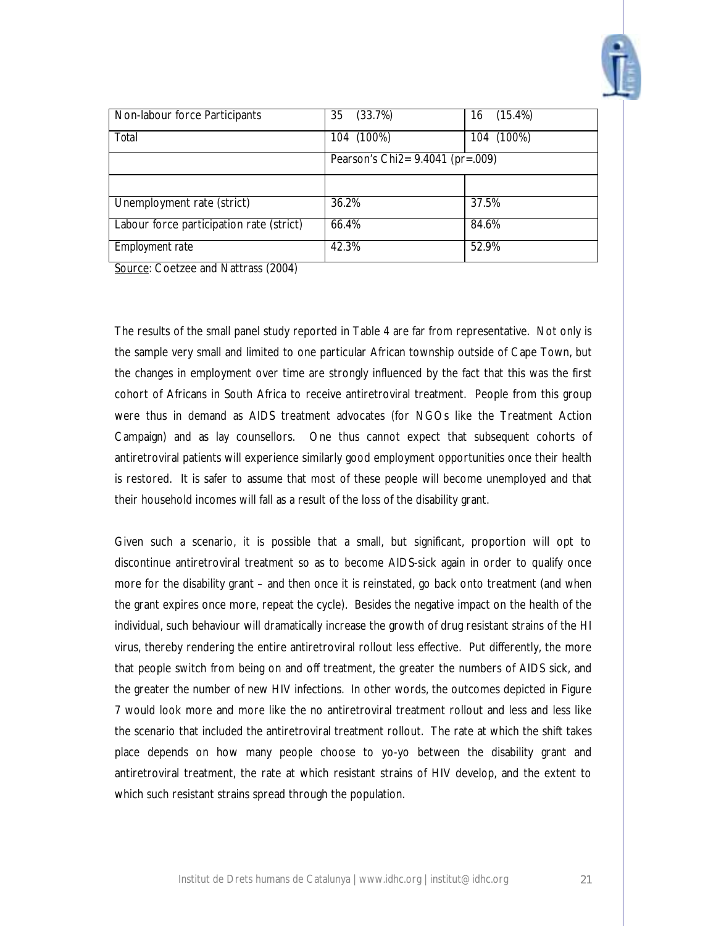

| Non-labour force Participants            | (33.7%)<br>35                    | (15.4%)<br>16 |  |
|------------------------------------------|----------------------------------|---------------|--|
| Total                                    | 104 (100%)                       | 104 (100%)    |  |
|                                          | Pearson's Chi2= 9.4041 (pr=.009) |               |  |
|                                          |                                  |               |  |
| Unemployment rate (strict)               | 36.2%                            | 37.5%         |  |
| Labour force participation rate (strict) | 66.4%                            | 84.6%         |  |
| Employment rate                          | 42.3%                            | 52.9%         |  |

Source: Coetzee and Nattrass (2004)

The results of the small panel study reported in Table 4 are far from representative. Not only is the sample very small and limited to one particular African township outside of Cape Town, but the changes in employment over time are strongly influenced by the fact that this was the first cohort of Africans in South Africa to receive antiretroviral treatment. People from this group were thus in demand as AIDS treatment advocates (for NGOs like the Treatment Action Campaign) and as lay counsellors. One thus cannot expect that subsequent cohorts of antiretroviral patients will experience similarly good employment opportunities once their health is restored. It is safer to assume that most of these people will become unemployed and that their household incomes will fall as a result of the loss of the disability grant.

Given such a scenario, it is possible that a small, but significant, proportion will opt to discontinue antiretroviral treatment so as to become AIDS-sick again in order to qualify once more for the disability grant – and then once it is reinstated, go back onto treatment (and when the grant expires once more, repeat the cycle). Besides the negative impact on the health of the individual, such behaviour will dramatically increase the growth of drug resistant strains of the HI virus, thereby rendering the entire antiretroviral rollout less effective. Put differently, the more that people switch from being on and off treatment, the greater the numbers of AIDS sick, and the greater the number of new HIV infections. In other words, the outcomes depicted in Figure 7 would look more and more like the no antiretroviral treatment rollout and less and less like the scenario that included the antiretroviral treatment rollout. The rate at which the shift takes place depends on how many people choose to yo-yo between the disability grant and antiretroviral treatment, the rate at which resistant strains of HIV develop, and the extent to which such resistant strains spread through the population.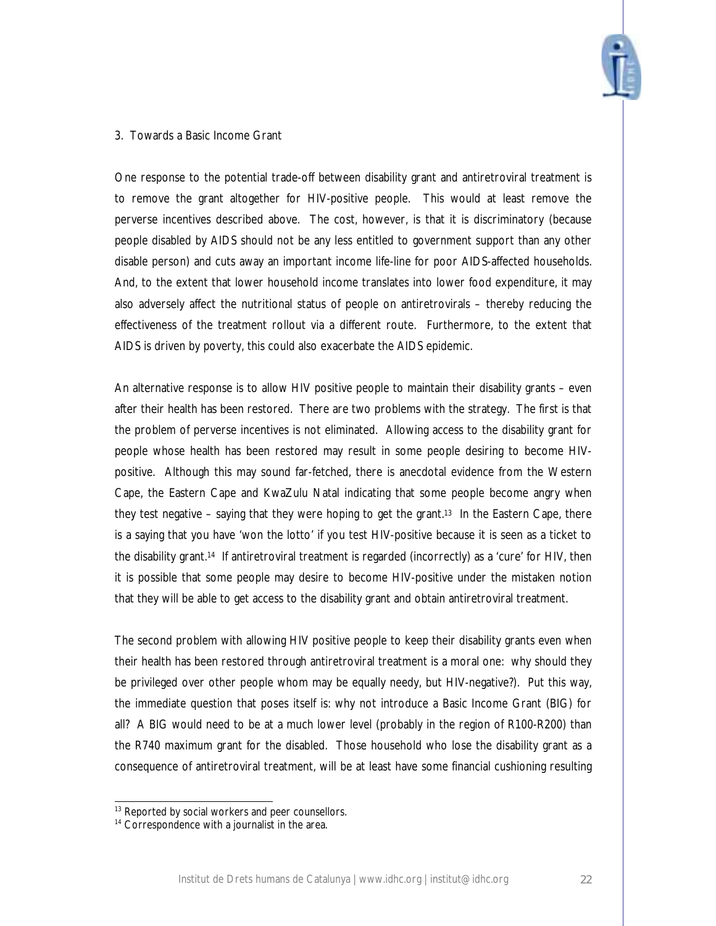

### 3. Towards a Basic Income Grant

One response to the potential trade-off between disability grant and antiretroviral treatment is to remove the grant altogether for HIV-positive people. This would at least remove the perverse incentives described above. The cost, however, is that it is discriminatory (because people disabled by AIDS should not be any less entitled to government support than any other disable person) and cuts away an important income life-line for poor AIDS-affected households. And, to the extent that lower household income translates into lower food expenditure, it may also adversely affect the nutritional status of people on antiretrovirals – thereby reducing the effectiveness of the treatment rollout via a different route. Furthermore, to the extent that AIDS is driven by poverty, this could also exacerbate the AIDS epidemic.

An alternative response is to allow HIV positive people to maintain their disability grants – even after their health has been restored. There are two problems with the strategy. The first is that the problem of perverse incentives is not eliminated. Allowing access to the disability grant for people whose health has been restored may result in some people desiring to become HIVpositive. Although this may sound far-fetched, there is anecdotal evidence from the Western Cape, the Eastern Cape and KwaZulu Natal indicating that some people become angry when they test negative – saying that they were hoping to get the grant.13 In the Eastern Cape, there is a saying that you have 'won the lotto' if you test HIV-positive because it is seen as a ticket to the disability grant.14 If antiretroviral treatment is regarded (incorrectly) as a 'cure' for HIV, then it is possible that some people may desire to become HIV-positive under the mistaken notion that they will be able to get access to the disability grant and obtain antiretroviral treatment.

The second problem with allowing HIV positive people to keep their disability grants even when their health has been restored through antiretroviral treatment is a moral one: why should they be privileged over other people whom may be equally needy, but HIV-negative?). Put this way, the immediate question that poses itself is: why not introduce a Basic Income Grant (BIG) for all? A BIG would need to be at a much lower level (probably in the region of R100-R200) than the R740 maximum grant for the disabled. Those household who lose the disability grant as a consequence of antiretroviral treatment, will be at least have some financial cushioning resulting

<sup>1</sup>  $13$  Reported by social workers and peer counsellors.

<sup>&</sup>lt;sup>14</sup> Correspondence with a journalist in the area.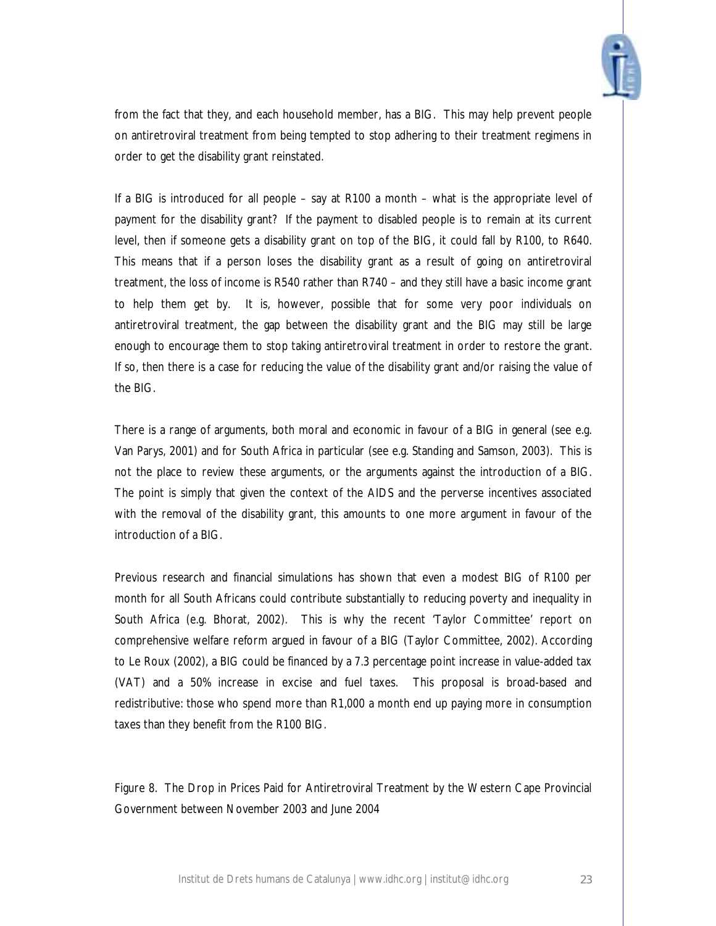

from the fact that they, and each household member, has a BIG. This may help prevent people on antiretroviral treatment from being tempted to stop adhering to their treatment regimens in order to get the disability grant reinstated.

If a BIG is introduced for all people – say at R100 a month – what is the appropriate level of payment for the disability grant? If the payment to disabled people is to remain at its current level, then if someone gets a disability grant on top of the BIG, it could fall by R100, to R640. This means that if a person loses the disability grant as a result of going on antiretroviral treatment, the loss of income is R540 rather than R740 – and they still have a basic income grant to help them get by. It is, however, possible that for some very poor individuals on antiretroviral treatment, the gap between the disability grant and the BIG may still be large enough to encourage them to stop taking antiretroviral treatment in order to restore the grant. If so, then there is a case for reducing the value of the disability grant and/or raising the value of the BIG.

There is a range of arguments, both moral and economic in favour of a BIG in general (see e.g. Van Parys, 2001) and for South Africa in particular (see e.g. Standing and Samson, 2003). This is not the place to review these arguments, or the arguments against the introduction of a BIG. The point is simply that given the context of the AIDS and the perverse incentives associated with the removal of the disability grant, this amounts to one more argument in favour of the introduction of a BIG.

Previous research and financial simulations has shown that even a modest BIG of R100 per month for all South Africans could contribute substantially to reducing poverty and inequality in South Africa (e.g. Bhorat, 2002). This is why the recent 'Taylor Committee' report on comprehensive welfare reform argued in favour of a BIG (Taylor Committee, 2002). According to Le Roux (2002), a BIG could be financed by a 7.3 percentage point increase in value-added tax (VAT) and a 50% increase in excise and fuel taxes. This proposal is broad-based and redistributive: those who spend more than R1,000 a month end up paying more in consumption taxes than they benefit from the R100 BIG.

Figure 8. The Drop in Prices Paid for Antiretroviral Treatment by the Western Cape Provincial Government between November 2003 and June 2004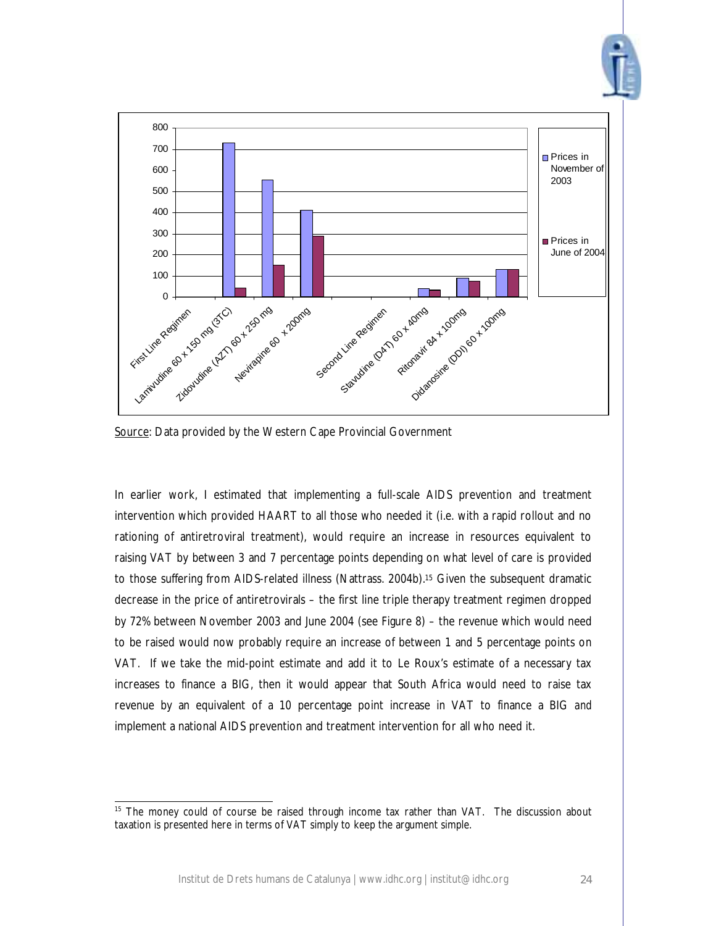



Source: Data provided by the Western Cape Provincial Government

In earlier work, I estimated that implementing a full-scale AIDS prevention and treatment intervention which provided HAART to all those who needed it (i.e. with a rapid rollout and no rationing of antiretroviral treatment), would require an increase in resources equivalent to raising VAT by between 3 and 7 percentage points depending on what level of care is provided to those suffering from AIDS-related illness (Nattrass. 2004b).15 Given the subsequent dramatic decrease in the price of antiretrovirals – the first line triple therapy treatment regimen dropped by 72% between November 2003 and June 2004 (see Figure 8) – the revenue which would need to be raised would now probably require an increase of between 1 and 5 percentage points on VAT. If we take the mid-point estimate and add it to Le Roux's estimate of a necessary tax increases to finance a BIG, then it would appear that South Africa would need to raise tax revenue by an equivalent of a 10 percentage point increase in VAT to finance a BIG *and* implement a national AIDS prevention and treatment intervention for all who need it.

<sup>1</sup> <sup>15</sup> The money could of course be raised through income tax rather than VAT. The discussion about taxation is presented here in terms of VAT simply to keep the argument simple.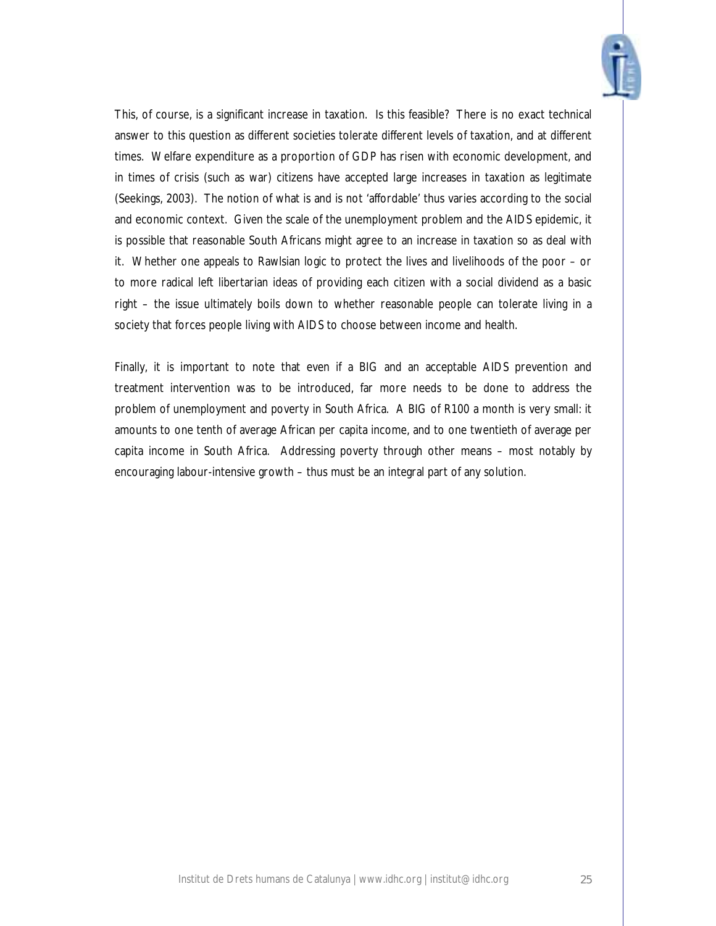

This, of course, is a significant increase in taxation. Is this feasible? There is no exact technical answer to this question as different societies tolerate different levels of taxation, and at different times. Welfare expenditure as a proportion of GDP has risen with economic development, and in times of crisis (such as war) citizens have accepted large increases in taxation as legitimate (Seekings, 2003). The notion of what is and is not 'affordable' thus varies according to the social and economic context. Given the scale of the unemployment problem and the AIDS epidemic, it is possible that reasonable South Africans might agree to an increase in taxation so as deal with it. Whether one appeals to Rawlsian logic to protect the lives and livelihoods of the poor – or to more radical left libertarian ideas of providing each citizen with a social dividend as a basic right – the issue ultimately boils down to whether reasonable people can tolerate living in a society that forces people living with AIDS to choose between income and health.

Finally, it is important to note that even if a BIG and an acceptable AIDS prevention and treatment intervention was to be introduced, far more needs to be done to address the problem of unemployment and poverty in South Africa. A BIG of R100 a month is very small: it amounts to one tenth of average African per capita income, and to one twentieth of average per capita income in South Africa. Addressing poverty through other means – most notably by encouraging labour-intensive growth – thus must be an integral part of any solution.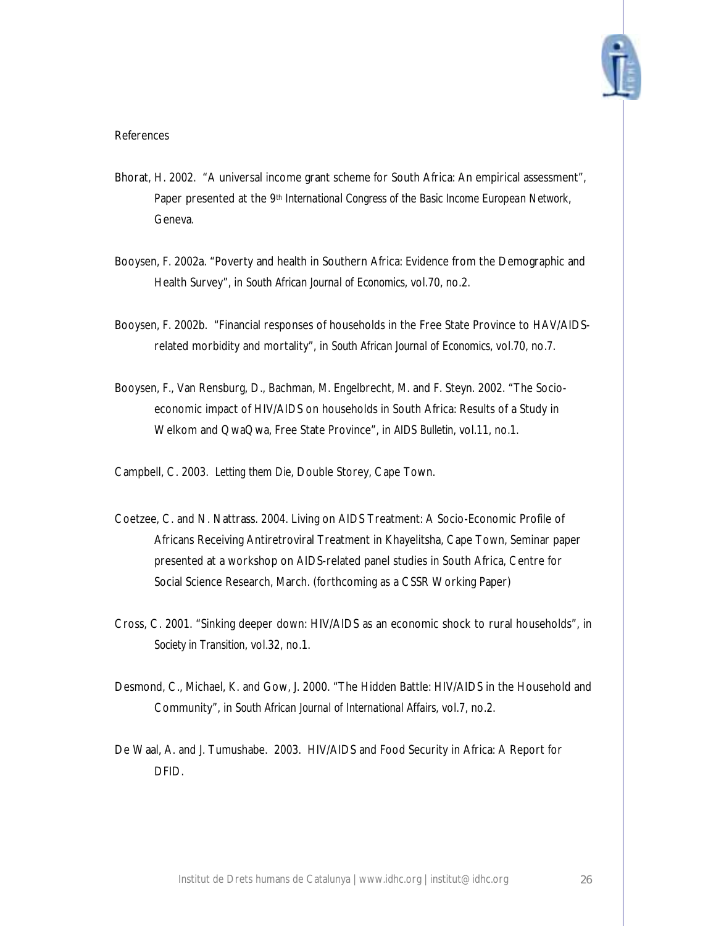

### References

- Bhorat, H. 2002. "A universal income grant scheme for South Africa: An empirical assessment", Paper presented at the *9th International Congress of the Basic Income European Network*, Geneva.
- Booysen, F. 2002a. "Poverty and health in Southern Africa: Evidence from the Demographic and Health Survey", in *South African Journal of Economics*, vol.70, no.2.
- Booysen, F. 2002b. "Financial responses of households in the Free State Province to HAV/AIDSrelated morbidity and mortality", in *South African Journal of Economics*, vol.70, no.7.
- Booysen, F., Van Rensburg, D., Bachman, M. Engelbrecht, M. and F. Steyn. 2002. "The Socioeconomic impact of HIV/AIDS on households in South Africa: Results of a Study in Welkom and QwaQwa, Free State Province", in *AIDS Bulletin*, vol.11, no.1.

Campbell, C. 2003. *Letting them Die*, Double Storey, Cape Town.

- Coetzee, C. and N. Nattrass. 2004. Living on AIDS Treatment: A Socio-Economic Profile of Africans Receiving Antiretroviral Treatment in Khayelitsha, Cape Town, Seminar paper presented at a workshop on AIDS-related panel studies in South Africa, Centre for Social Science Research, March. (forthcoming as a CSSR Working Paper)
- Cross, C. 2001. "Sinking deeper down: HIV/AIDS as an economic shock to rural households", in *Society in Transition*, vol.32, no.1.
- Desmond, C., Michael, K. and Gow, J. 2000. "The Hidden Battle: HIV/AIDS in the Household and Community", in *South African Journal of International Affairs*, vol.7, no.2.
- De Waal, A. and J. Tumushabe. 2003. HIV/AIDS and Food Security in Africa: A Report for DFID.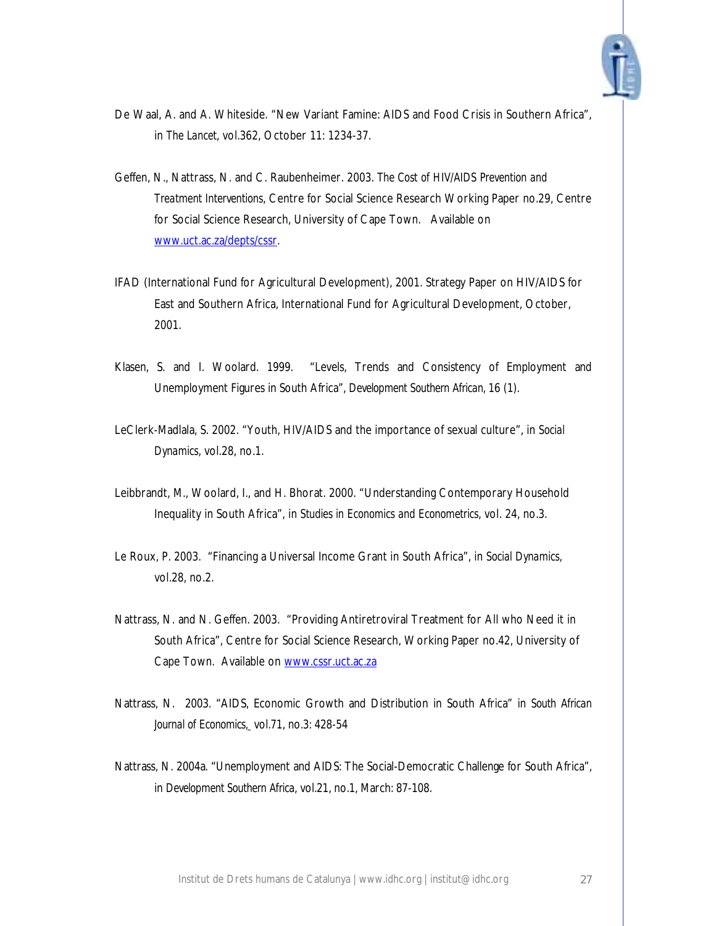

- De Waal, A. and A. Whiteside. "New Variant Famine: AIDS and Food Crisis in Southern Africa", in *The Lancet*, vol.362, October 11: 1234-37.
- Geffen, N., Nattrass, N. and C. Raubenheimer. 2003. *The Cost of HIV/AIDS Prevention and Treatment Interventions*, Centre for Social Science Research Working Paper no.29, Centre for Social Science Research, University of Cape Town. Available on www.uct.ac.za/depts/cssr.
- IFAD (International Fund for Agricultural Development), 2001. Strategy Paper on HIV/AIDS for East and Southern Africa, International Fund for Agricultural Development, October, 2001.
- Klasen, S. and I. Woolard. 1999. "Levels, Trends and Consistency of Employment and Unemployment Figures in South Africa", *Development Southern African,* 16 (1).
- LeClerk-Madlala, S. 2002. "Youth, HIV/AIDS and the importance of sexual culture", in *Social Dynamics*, vol.28, no.1.
- Leibbrandt, M., Woolard, I., and H. Bhorat. 2000. "Understanding Contemporary Household Inequality in South Africa", in *Studies in Economics and Econometrics*, vol. 24, no.3.
- Le Roux, P. 2003. "Financing a Universal Income Grant in South Africa", in *Social Dynamics*, vol.28, no.2.
- Nattrass, N. and N. Geffen. 2003. "Providing Antiretroviral Treatment for All who Need it in South Africa", Centre for Social Science Research, Working Paper no.42, University of Cape Town. Available on www.cssr.uct.ac.za
- Nattrass, N. 2003. "AIDS, Economic Growth and Distribution in South Africa" in *South African Journal of Economics,* vol.71, no.3: 428-54
- Nattrass, N. 2004a. "Unemployment and AIDS: The Social-Democratic Challenge for South Africa", in *Development Southern Africa*, vol.21, no.1, March: 87-108.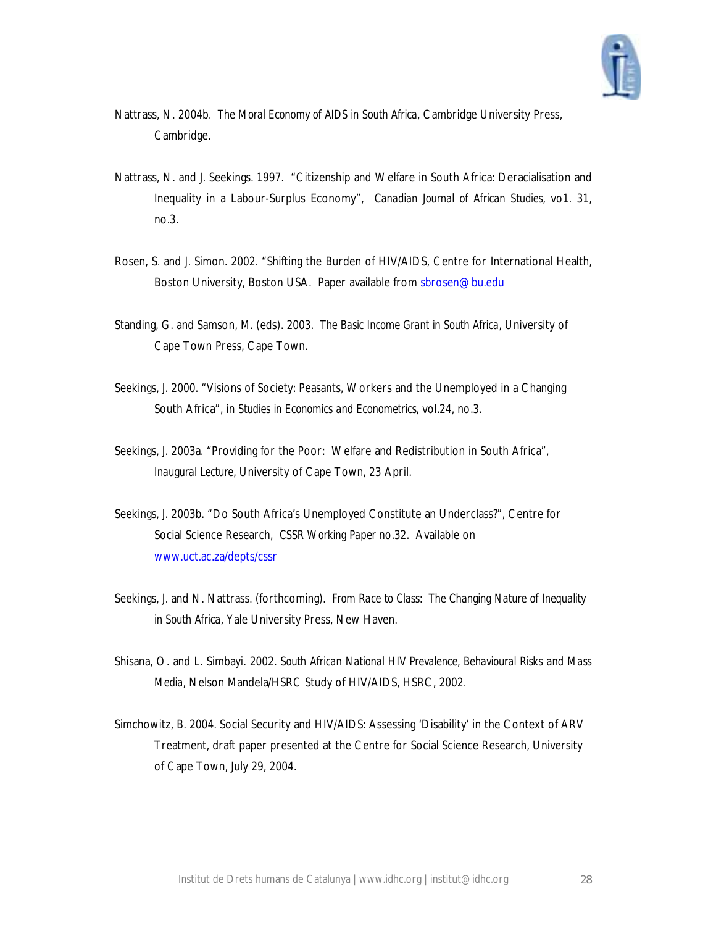

- Nattrass, N. 2004b. *The Moral Economy of AIDS in South Africa*, Cambridge University Press, Cambridge.
- Nattrass, N. and J. Seekings. 1997. "Citizenship and Welfare in South Africa: Deracialisation and Inequality in a Labour-Surplus Economy", *Canadian Journal of African Studies*, vo1. 31, no.3.
- Rosen, S. and J. Simon. 2002. "Shifting the Burden of HIV/AIDS, Centre for International Health, Boston University, Boston USA. Paper available from sbrosen@bu.edu
- Standing, G. and Samson, M. (eds). 2003. *The Basic Income Grant in South Africa*, University of Cape Town Press, Cape Town.
- Seekings, J. 2000. "Visions of Society: Peasants, Workers and the Unemployed in a Changing South Africa", in *Studies in Economics and Econometrics*, vol.24, no.3.
- Seekings, J. 2003a. "Providing for the Poor: Welfare and Redistribution in South Africa", *Inaugural Lecture*, University of Cape Town, 23 April.
- Seekings, J. 2003b. "Do South Africa's Unemployed Constitute an Underclass?", Centre for Social Science Research, *CSSR Working Paper* no.32. Available on www.uct.ac.za/depts/cssr
- Seekings, J. and N. Nattrass. (forthcoming). *From Race to Class: The Changing Nature of Inequality in South Africa*, Yale University Press, New Haven.
- Shisana, O. and L. Simbayi. 2002. *South African National HIV Prevalence, Behavioural Risks and Mass Media*, Nelson Mandela/HSRC Study of HIV/AIDS, HSRC, 2002.
- Simchowitz, B. 2004. Social Security and HIV/AIDS: Assessing 'Disability' in the Context of ARV Treatment, draft paper presented at the Centre for Social Science Research, University of Cape Town, July 29, 2004.